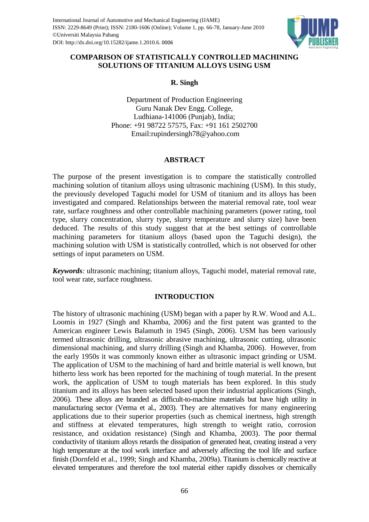

# **COMPARISON OF STATISTICALLY CONTROLLED MACHINING SOLUTIONS OF TITANIUM ALLOYS USING USM**

**R. Singh**

Department of Production Engineering Guru Nanak Dev Engg. College, Ludhiana-141006 (Punjab), India; Phone: +91 98722 57575, Fax: +91 161 2502700 Email:rupindersingh78@yahoo.com

# **ABSTRACT**

The purpose of the present investigation is to compare the statistically controlled machining solution of titanium alloys using ultrasonic machining (USM). In this study, the previously developed Taguchi model for USM of titanium and its alloys has been investigated and compared. Relationships between the material removal rate, tool wear rate, surface roughness and other controllable machining parameters (power rating, tool type, slurry concentration, slurry type, slurry temperature and slurry size) have been deduced. The results of this study suggest that at the best settings of controllable machining parameters for titanium alloys (based upon the Taguchi design), the machining solution with USM is statistically controlled, which is not observed for other settings of input parameters on USM.

*Keywords:* ultrasonic machining; titanium alloys, Taguchi model, material removal rate, tool wear rate, surface roughness.

## **INTRODUCTION**

The history of ultrasonic machining (USM) began with a paper by R.W. Wood and A.L. Loomis in 1927 (Singh and Khamba, 2006) and the first patent was granted to the American engineer Lewis Balamuth in 1945 (Singh, 2006). USM has been variously termed ultrasonic drilling, ultrasonic abrasive machining, ultrasonic cutting, ultrasonic dimensional machining, and slurry drilling (Singh and Khamba, 2006). However, from the early 1950s it was commonly known either as ultrasonic impact grinding or USM. The application of USM to the machining of hard and brittle material is well known, but hitherto less work has been reported for the machining of tough material. In the present work, the application of USM to tough materials has been explored. In this study titanium and its alloys has been selected based upon their industrial applications (Singh, 2006). These alloys are branded as difficult-to-machine materials but have high utility in manufacturing sector (Verma et al., 2003). They are alternatives for many engineering applications due to their superior properties (such as chemical inertness, high strength and stiffness at elevated temperatures, high strength to weight ratio, corrosion resistance, and oxidation resistance) (Singh and Khamba, 2003). The poor thermal conductivity of titanium alloys retards the dissipation of generated heat, creating instead a very high temperature at the tool work interface and adversely affecting the tool life and surface finish (Dornfeld et al., 1999; Singh and Khamba, 2009a). Titanium is chemically reactive at elevated temperatures and therefore the tool material either rapidly dissolves or chemically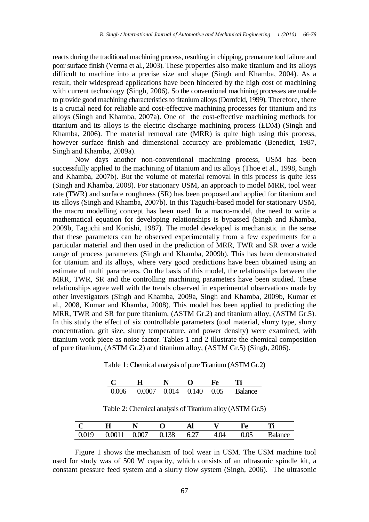reacts during the traditional machining process, resulting in chipping, premature tool failure and poor surface finish (Verma et al., 2003). These properties also make titanium and its alloys difficult to machine into a precise size and shape (Singh and Khamba, 2004). As a result, their widespread applications have been hindered by the high cost of machining with current technology (Singh, 2006). So the conventional machining processes are unable to provide good machining characteristics to titanium alloys (Dornfeld, 1999). Therefore, there is a crucial need for reliable and cost-effective machining processes for titanium and its alloys (Singh and Khamba, 2007a). One of the cost-effective machining methods for titanium and its alloys is the electric discharge machining process (EDM) (Singh and Khamba, 2006). The material removal rate (MRR) is quite high using this process, however surface finish and dimensional accuracy are problematic (Benedict, 1987, Singh and Khamba, 2009a).

Now days another non-conventional machining process, USM has been successfully applied to the machining of titanium and its alloys (Thoe et al., 1998, Singh and Khamba, 2007b). But the volume of material removal in this process is quite less (Singh and Khamba, 2008). For stationary USM, an approach to model MRR, tool wear rate (TWR) and surface roughness (SR) has been proposed and applied for titanium and its alloys (Singh and Khamba, 2007b). In this Taguchi-based model for stationary USM, the macro modelling concept has been used. In a macro-model, the need to write a mathematical equation for developing relationships is bypassed (Singh and Khamba, 2009b, Taguchi and Konishi, 1987). The model developed is mechanistic in the sense that these parameters can be observed experimentally from a few experiments for a particular material and then used in the prediction of MRR, TWR and SR over a wide range of process parameters (Singh and Khamba, 2009b). This has been demonstrated for titanium and its alloys, where very good predictions have been obtained using an estimate of multi parameters. On the basis of this model, the relationships between the MRR, TWR, SR and the controlling machining parameters have been studied. These relationships agree well with the trends observed in experimental observations made by other investigators (Singh and Khamba, 2009a, Singh and Khamba, 2009b, Kumar et al., 2008, Kumar and Khamba, 2008). This model has been applied to predicting the MRR, TWR and SR for pure titanium, (ASTM Gr.2) and titanium alloy, (ASTM Gr.5). In this study the effect of six controllable parameters (tool material, slurry type, slurry concentration, grit size, slurry temperature, and power density) were examined, with titanium work piece as noise factor. Tables 1 and 2 illustrate the chemical composition of pure titanium, (ASTM Gr.2) and titanium alloy, (ASTM Gr.5) (Singh, 2006).

|       |                          |  | HΆ   |                |
|-------|--------------------------|--|------|----------------|
| 0.006 | $0.0007$ $0.014$ $0.140$ |  | 0.05 | <b>Balance</b> |

Table 1: Chemical analysis of pure Titanium (ASTM Gr.2)

Table 2: Chemical analysis of Titanium alloy (ASTM Gr.5)

|       |        |       |       | Al   |      | НР   | TC:            |
|-------|--------|-------|-------|------|------|------|----------------|
| 0.019 | 0.0011 | 0.007 | 0.138 | 6.2. | 4.04 | 0.05 | <b>Balance</b> |

Figure 1 shows the mechanism of tool wear in USM. The USM machine tool used for study was of 500 W capacity, which consists of an ultrasonic spindle kit, a constant pressure feed system and a slurry flow system (Singh, 2006). The ultrasonic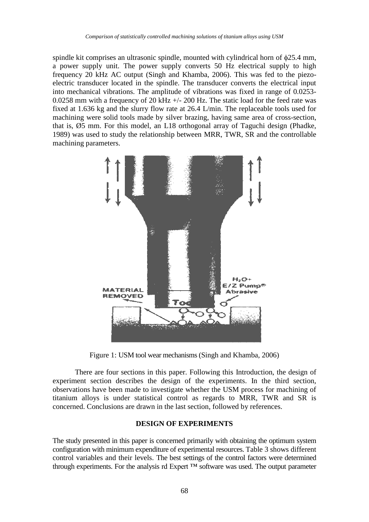spindle kit comprises an ultrasonic spindle, mounted with cylindrical horn of  $\phi$ 25.4 mm, a power supply unit. The power supply converts 50 Hz electrical supply to high frequency 20 kHz AC output (Singh and Khamba, 2006). This was fed to the piezoelectric transducer located in the spindle. The transducer converts the electrical input into mechanical vibrations. The amplitude of vibrations was fixed in range of 0.0253- 0.0258 mm with a frequency of 20 kHz +/- 200 Hz. The static load for the feed rate was fixed at 1.636 kg and the slurry flow rate at 26.4 L/min. The replaceable tools used for machining were solid tools made by silver brazing, having same area of cross-section, that is, Ø5 mm. For this model, an L18 orthogonal array of Taguchi design (Phadke, 1989) was used to study the relationship between MRR, TWR, SR and the controllable machining parameters.



Figure 1: USM tool wear mechanisms (Singh and Khamba, 2006)

There are four sections in this paper. Following this Introduction, the design of experiment section describes the design of the experiments. In the third section, observations have been made to investigate whether the USM process for machining of titanium alloys is under statistical control as regards to MRR, TWR and SR is concerned. Conclusions are drawn in the last section, followed by references.

### **DESIGN OF EXPERIMENTS**

The study presented in this paper is concerned primarily with obtaining the optimum system configuration with minimum expenditure of experimental resources. Table 3 shows different control variables and their levels. The best settings of the control factors were determined through experiments. For the analysis rd Expert  $TM$  software was used. The output parameter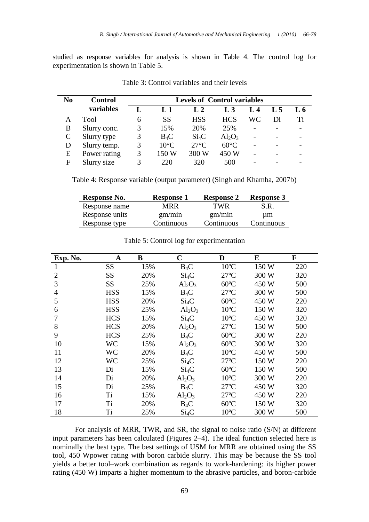studied as response variables for analysis is shown in Table 4. The control log for experimentation is shown in Table 5.

| N <sub>0</sub> | <b>Control</b> | <b>Levels of Control variables</b> |                  |                  |                |      |     |     |
|----------------|----------------|------------------------------------|------------------|------------------|----------------|------|-----|-----|
|                | variables      |                                    | $\mathbf{L}$ . 1 | $\mathbf{L}$ . 2 | L <sub>3</sub> | I. 4 | L 5 | L 6 |
|                | Tool           | 6                                  | <b>SS</b>        | <b>HSS</b>       | <b>HCS</b>     | WС   | Di  | Ti  |
| B              | Slurry conc.   |                                    | 15%              | 20%              | 25%            |      |     |     |
|                | Slurry type    |                                    | $B_4C$           | $Si_4C$          | $Al_2O_3$      |      |     |     |
|                | Slurry temp.   |                                    | $10^{\circ}$ C   | $27^{\circ}$ C   | $60^{\circ}$ C |      |     |     |
| E              | Power rating   |                                    | 150 W            | 300 W            | 450 W          |      |     |     |
| F              | Slurry size    |                                    | 220              | 320              | 500            |      |     |     |

Table 3: Control variables and their levels

Table 4: Response variable (output parameter) (Singh and Khamba, 2007b)

| Response No.   | <b>Response 1</b> | <b>Response 2</b> | <b>Response 3</b> |
|----------------|-------------------|-------------------|-------------------|
| Response name  | MRR               | TWR               | S.R.              |
| Response units | gm/min            | gm/min            | um                |
| Response type  | Continuous        | Continuous        | Continuous        |

| Exp. No.       | A          | B   | $\mathbf C$       | D              | E     | $\mathbf F$ |
|----------------|------------|-----|-------------------|----------------|-------|-------------|
| 1              | <b>SS</b>  | 15% | $B_4C$            | $10^{\circ}$ C | 150 W | 220         |
| $\overline{2}$ | <b>SS</b>  | 20% | $Si_4C$           | $27^{\circ}$ C | 300 W | 320         |
| 3              | <b>SS</b>  | 25% | $Al_2O_3$         | $60^{\circ}$ C | 450 W | 500         |
| $\overline{4}$ | <b>HSS</b> | 15% | $B_4C$            | $27^{\circ}$ C | 300 W | 500         |
| 5              | <b>HSS</b> | 20% | $Si_4C$           | $60^{\circ}$ C | 450 W | 220         |
| 6              | <b>HSS</b> | 25% | $Al_2O_3$         | $10^{\circ}$ C | 150 W | 320         |
|                | <b>HCS</b> | 15% | $Si_4C$           | $10^{\circ}$ C | 450 W | 320         |
| 8              | <b>HCS</b> | 20% | $Al_2O_3$         | $27^{\circ}$ C | 150 W | 500         |
| 9              | <b>HCS</b> | 25% | $B_4C$            | $60^{\circ}$ C | 300 W | 220         |
| 10             | <b>WC</b>  | 15% | $Al_2O_3$         | $60^{\circ}$ C | 300 W | 320         |
| 11             | <b>WC</b>  | 20% | $B_4C$            | $10^{\circ}$ C | 450 W | 500         |
| 12             | WC         | 25% | Si <sub>4</sub> C | $27^{\circ}$ C | 150 W | 220         |
| 13             | Di         | 15% | Si <sub>4</sub> C | $60^{\circ}$ C | 150 W | 500         |
| 14             | Di         | 20% | $Al_2O_3$         | $10^{\circ}$ C | 300 W | 220         |
| 15             | Di         | 25% | $B_4C$            | $27^{\circ}$ C | 450 W | 320         |
| 16             | Ti         | 15% | $Al_2O_3$         | $27^{\circ}$ C | 450 W | 220         |
| 17             | Ti         | 20% | $B_4C$            | $60^{\circ}$ C | 150 W | 320         |
| 18             | Ti         | 25% | $Si_4C$           | $10^{\circ}$ C | 300 W | 500         |

Table 5: Control log for experimentation

For analysis of MRR, TWR, and SR, the signal to noise ratio (S/N) at different input parameters has been calculated (Figures 2–4). The ideal function selected here is nominally the best type. The best settings of USM for MRR are obtained using the SS tool, 450 Wpower rating with boron carbide slurry. This may be because the SS tool yields a better tool–work combination as regards to work-hardening: its higher power rating (450 W) imparts a higher momentum to the abrasive particles, and boron-carbide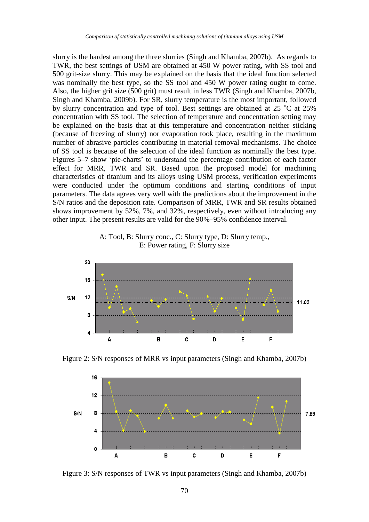slurry is the hardest among the three slurries (Singh and Khamba, 2007b). As regards to TWR, the best settings of USM are obtained at 450 W power rating, with SS tool and 500 grit-size slurry. This may be explained on the basis that the ideal function selected was nominally the best type, so the SS tool and 450 W power rating ought to come. Also, the higher grit size (500 grit) must result in less TWR (Singh and Khamba, 2007b, Singh and Khamba, 2009b). For SR, slurry temperature is the most important, followed by slurry concentration and type of tool. Best settings are obtained at  $25 \degree C$  at  $25\%$ concentration with SS tool. The selection of temperature and concentration setting may be explained on the basis that at this temperature and concentration neither sticking (because of freezing of slurry) nor evaporation took place, resulting in the maximum number of abrasive particles contributing in material removal mechanisms. The choice of SS tool is because of the selection of the ideal function as nominally the best type. Figures 5–7 show 'pie-charts' to understand the percentage contribution of each factor effect for MRR, TWR and SR. Based upon the proposed model for machining characteristics of titanium and its alloys using USM process, verification experiments were conducted under the optimum conditions and starting conditions of input parameters. The data agrees very well with the predictions about the improvement in the S/N ratios and the deposition rate. Comparison of MRR, TWR and SR results obtained shows improvement by 52%, 7%, and 32%, respectively, even without introducing any other input. The present results are valid for the 90%–95% confidence interval.

A: Tool, B: Slurry conc., C: Slurry type, D: Slurry temp., E: Power rating, F: Slurry size



Figure 2: S/N responses of MRR vs input parameters (Singh and Khamba, 2007b)



Figure 3: S/N responses of TWR vs input parameters (Singh and Khamba, 2007b)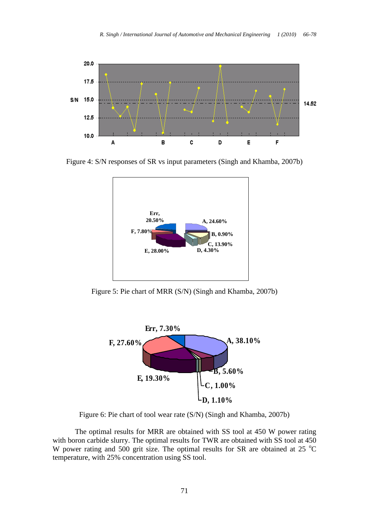

Figure 4: S/N responses of SR vs input parameters (Singh and Khamba, 2007b)



Figure 5: Pie chart of MRR (S/N) (Singh and Khamba, 2007b)



Figure 6: Pie chart of tool wear rate (S/N) (Singh and Khamba, 2007b)

The optimal results for MRR are obtained with SS tool at 450 W power rating with boron carbide slurry. The optimal results for TWR are obtained with SS tool at 450 W power rating and 500 grit size. The optimal results for SR are obtained at 25  $^{\circ}$ C temperature, with 25% concentration using SS tool.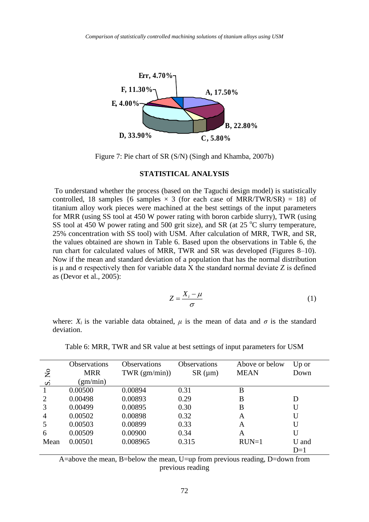

Figure 7: Pie chart of SR (S/N) (Singh and Khamba, 2007b)

#### **STATISTICAL ANALYSIS**

To understand whether the process (based on the Taguchi design model) is statistically controlled, 18 samples {6 samples  $\times$  3 (for each case of MRR/TWR/SR) = 18} of titanium alloy work pieces were machined at the best settings of the input parameters for MRR (using SS tool at 450 W power rating with boron carbide slurry), TWR (using SS tool at 450 W power rating and 500 grit size), and SR (at  $25^{\circ}$ C slurry temperature, 25% concentration with SS tool) with USM. After calculation of MRR, TWR, and SR, the values obtained are shown in Table 6. Based upon the observations in Table 6, the run chart for calculated values of MRR, TWR and SR was developed (Figures 8–10). Now if the mean and standard deviation of a population that has the normal distribution is  $\mu$  and  $\sigma$  respectively then for variable data X the standard normal deviate Z is defined as (Devor et al., 2005):

$$
Z = \frac{X_i - \mu}{\sigma} \tag{1}
$$

where:  $X_i$  is the variable data obtained,  $\mu$  is the mean of data and  $\sigma$  is the standard deviation.

|                    | <b>Observations</b> | <b>Observations</b> | <b>Observations</b> | Above or below | $Up \text{ or }$ |
|--------------------|---------------------|---------------------|---------------------|----------------|------------------|
| $\overline{S}$     | <b>MRR</b>          | $TWR$ (gm/min))     | $SR \, (\mu m)$     | <b>MEAN</b>    | Down             |
| $\dot{\mathbf{z}}$ | (gm/min)            |                     |                     |                |                  |
|                    | 0.00500             | 0.00894             | 0.31                | B              |                  |
| 2                  | 0.00498             | 0.00893             | 0.29                | B              | D                |
| 3                  | 0.00499             | 0.00895             | 0.30                | B              | U                |
| 4                  | 0.00502             | 0.00898             | 0.32                | A              | U                |
| 5                  | 0.00503             | 0.00899             | 0.33                | A              | U                |
| 6                  | 0.00509             | 0.00900             | 0.34                | A              | U                |
| Mean               | 0.00501             | 0.008965            | 0.315               | $RUN=1$        | U and            |
|                    |                     |                     |                     |                | $D=1$            |

Table 6: MRR, TWR and SR value at best settings of input parameters for USM

A=above the mean, B=below the mean, U=up from previous reading, D=down from previous reading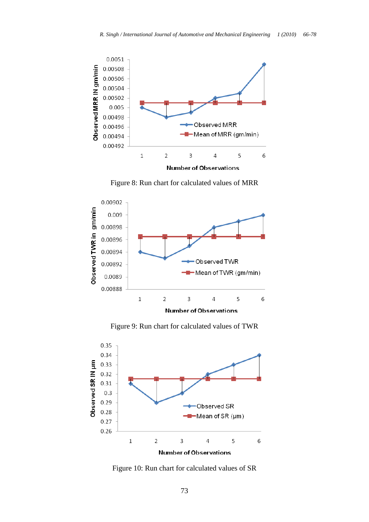

Figure 8: Run chart for calculated values of MRR



Figure 9: Run chart for calculated values of TWR



Figure 10: Run chart for calculated values of SR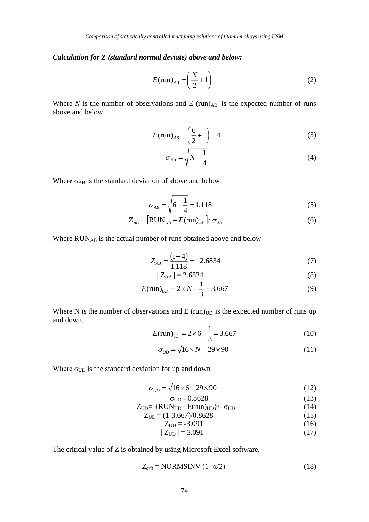### *Calculation for Z (standard normal deviate) above and below:*

$$
E(\text{run})_{AB} = \left(\frac{N}{2} + 1\right) \tag{2}
$$

Where  $N$  is the number of observations and  $E(run)_{AB}$  is the expected number of runs above and below

$$
E(\text{run})_{AB} = \left(\frac{6}{2} + 1\right) = 4\tag{3}
$$

$$
\sigma_{AB} = \sqrt{N - \frac{1}{4}}\tag{4}
$$

Where  $\sigma_{AB}$  is the standard deviation of above and below

$$
\sigma_{AB} = \sqrt{6 - \frac{1}{4}} = 1.118\tag{5}
$$

$$
Z_{AB} = \left[\text{RUN}_{AB} - E(\text{run})_{AB}\right] / \sigma_{AB} \tag{6}
$$

Where RUNAB is the actual number of runs obtained above and below

$$
Z_{AB} = \frac{(1-4)}{1.118} = -2.6834\tag{7}
$$

$$
|Z_{AB}| = 2.6834 \tag{8}
$$

$$
E(\text{run})_{UD} = 2 \times N - \frac{1}{3} = 3.667
$$
 (9)

Where N is the number of observations and E ( $run)$ <sub>UD</sub> is the expected number of runs up and down.

$$
E(\text{run})_{UD} = 2 \times 6 - \frac{1}{3} = 3.667
$$
 (10)

$$
\sigma_{UD} = \sqrt{16 \times N - 29 \times 90} \tag{11}
$$

Where  $\sigma_{UD}$  is the standard deviation for up and down

$$
\sigma_{UD} = \sqrt{16 \times 6 - 29 \times 90} \tag{12}
$$

$$
\sigma_{\text{UD}} = 0.8628\tag{13}
$$

$$
Z_{UD} = \{RUN_{UD} . E(run)_{UD}\} / \sigma_{UD} \tag{14}
$$

$$
Z_{UD} = (1-3.667)/0.8628\tag{15}
$$

$$
Z_{UD} = -3.091\tag{16}
$$

 $|Z_{\text{UD}}| = 3.091$  (17)

The critical value of Z is obtained by using Microsoft Excel software.

$$
Z_{crit} = NORMSINV (1 - \alpha/2)
$$
 (18)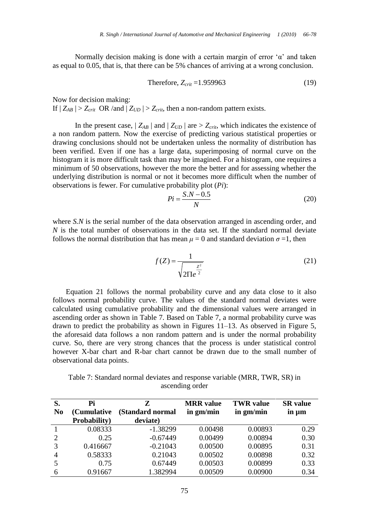Normally decision making is done with a certain margin of error ' $\alpha$ ' and taken as equal to 0.05, that is, that there can be 5% chances of arriving at a wrong conclusion.

Therefore, 
$$
Z_{crit} = 1.959963
$$
 (19)

Now for decision making:

If  $|Z_{AB}| > Z_{crit}$  OR /and  $|Z_{UD}| > Z_{crit}$ , then a non-random pattern exists.

In the present case,  $|Z_{AB}|$  and  $|Z_{UD}|$  are  $\geq Z_{crit}$ , which indicates the existence of a non random pattern. Now the exercise of predicting various statistical properties or drawing conclusions should not be undertaken unless the normality of distribution has been verified. Even if one has a large data, superimposing of normal curve on the histogram it is more difficult task than may be imagined. For a histogram, one requires a minimum of 50 observations, however the more the better and for assessing whether the underlying distribution is normal or not it becomes more difficult when the number of observations is fewer. For cumulative probability plot (*Pi*):

$$
Pi = \frac{S.N - 0.5}{N} \tag{20}
$$

where *S.N* is the serial number of the data observation arranged in ascending order, and *N* is the total number of observations in the data set. If the standard normal deviate follows the normal distribution that has mean  $\mu = 0$  and standard deviation  $\sigma = 1$ , then

$$
f(Z) = \frac{1}{\sqrt{2\pi e^{\frac{Z^2}{2}}}}
$$
(21)

Equation 21 follows the normal probability curve and any data close to it also follows normal probability curve. The values of the standard normal deviates were calculated using cumulative probability and the dimensional values were arranged in ascending order as shown in Table 7. Based on Table 7, a normal probability curve was drawn to predict the probability as shown in Figures 11–13. As observed in Figure 5, the aforesaid data follows a non random pattern and is under the normal probability curve. So, there are very strong chances that the process is under statistical control however X-bar chart and R-bar chart cannot be drawn due to the small number of observational data points.

Table 7: Standard normal deviates and response variable (MRR, TWR, SR) in ascending order

| S.             | Pi           | Z                | <b>MRR</b> value | <b>TWR</b> value | <b>SR</b> value |
|----------------|--------------|------------------|------------------|------------------|-----------------|
| N <sub>0</sub> | (Cumulative  | (Standard normal | in gm/min        | in gm/min        | in um           |
|                | Probability) | deviate)         |                  |                  |                 |
|                | 0.08333      | $-1.38299$       | 0.00498          | 0.00893          | 0.29            |
| 2              | 0.25         | $-0.67449$       | 0.00499          | 0.00894          | 0.30            |
| 3              | 0.416667     | $-0.21043$       | 0.00500          | 0.00895          | 0.31            |
| $\overline{4}$ | 0.58333      | 0.21043          | 0.00502          | 0.00898          | 0.32            |
|                | 0.75         | 0.67449          | 0.00503          | 0.00899          | 0.33            |
| 6              | 0.91667      | 1.382994         | 0.00509          | 0.00900          | 0.34            |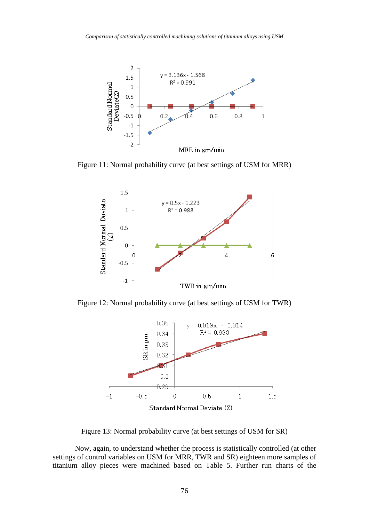

Figure 11: Normal probability curve (at best settings of USM for MRR)



Figure 12: Normal probability curve (at best settings of USM for TWR)



Figure 13: Normal probability curve (at best settings of USM for SR)

Now, again, to understand whether the process is statistically controlled (at other settings of control variables on USM for MRR, TWR and SR) eighteen more samples of titanium alloy pieces were machined based on Table 5. Further run charts of the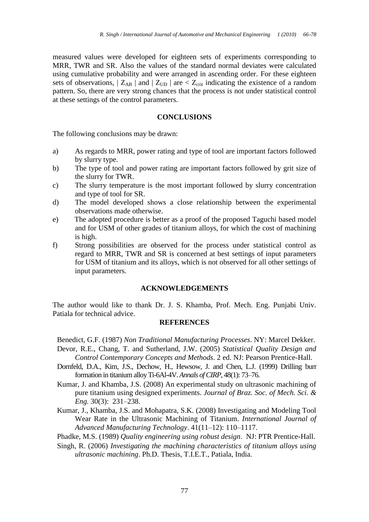measured values were developed for eighteen sets of experiments corresponding to MRR, TWR and SR. Also the values of the standard normal deviates were calculated using cumulative probability and were arranged in ascending order. For these eighteen sets of observations,  $|Z_{AB}|$  and  $|Z_{UD}|$  are  $\lt Z_{crit}$  indicating the existence of a random pattern. So, there are very strong chances that the process is not under statistical control at these settings of the control parameters.

## **CONCLUSIONS**

The following conclusions may be drawn:

- a) As regards to MRR, power rating and type of tool are important factors followed by slurry type.
- b) The type of tool and power rating are important factors followed by grit size of the slurry for TWR.
- c) The slurry temperature is the most important followed by slurry concentration and type of tool for SR.
- d) The model developed shows a close relationship between the experimental observations made otherwise.
- e) The adopted procedure is better as a proof of the proposed Taguchi based model and for USM of other grades of titanium alloys, for which the cost of machining is high.
- f) Strong possibilities are observed for the process under statistical control as regard to MRR, TWR and SR is concerned at best settings of input parameters for USM of titanium and its alloys, which is not observed for all other settings of input parameters.

## **ACKNOWLEDGEMENTS**

The author would like to thank Dr. J. S. Khamba, Prof. Mech. Eng. Punjabi Univ. Patiala for technical advice.

## **REFERENCES**

Benedict, G.F. (1987) *Non Traditional Manufacturing Processes*. NY: Marcel Dekker.

- Devor, R.E., Chang, T. and Sutherland, J.W. (2005) *Statistical Quality Design and Control Contemporary Concepts and Methods.* 2 ed. NJ: Pearson Prentice-Hall.
- Dornfeld, D.A., Kim, J.S., Dechow, H., Hewsow, J. and Chen, L.J. (1999) Drilling burr formation in titanium alloy Ti-6Al-4V. *Annals of CIRP*, 48(1): 73–76.
- Kumar, J. and Khamba, J.S. (2008) An experimental study on ultrasonic machining of pure titanium using designed experiments. *Journal of Braz. Soc. of Mech. Sci. & Eng.* 30(3): 231–238.
- Kumar, J., Khamba, J.S. and Mohapatra, S.K. (2008) Investigating and Modeling Tool Wear Rate in the Ultrasonic Machining of Titanium. *International Journal of Advanced Manufacturing Technology*. 41(11–12): 110–1117.

Phadke, M.S. (1989) *Quality engineering using robust design*. NJ: PTR Prentice-Hall.

Singh, R. (2006) *Investigating the machining characteristics of titanium alloys using ultrasonic machining*. Ph.D. Thesis, T.I.E.T., Patiala, India.